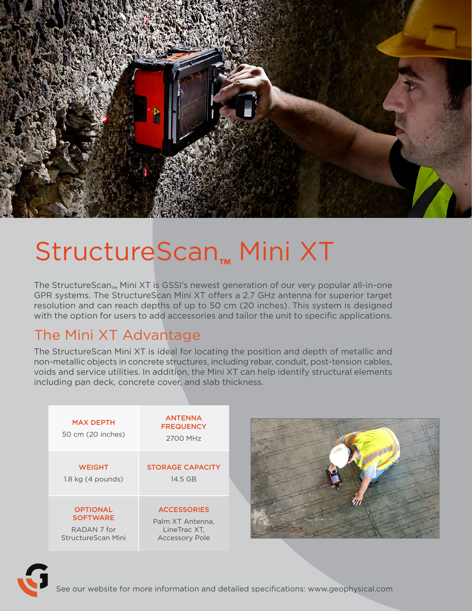

# StructureScan**™** Mini XT

The StructureScan<sub>™</sub> Mini XT is GSSI's newest generation of our very popular all-in-one GPR systems. The StructureScan Mini XT offers a 2.7 GHz antenna for superior target resolution and can reach depths of up to 50 cm (20 inches). This system is designed with the option for users to add accessories and tailor the unit to specific applications.

## The Mini XT Advantage

The StructureScan Mini XT is ideal for locating the position and depth of metallic and non-metallic objects in concrete structures, including rebar, conduit, post-tension cables, voids and service utilities. In addition, the Mini XT can help identify structural elements including pan deck, concrete cover, and slab thickness.

| <b>MAX DEPTH</b><br>50 cm (20 inches) | <b>ANTENNA</b><br><b>FREQUENCY</b><br>2700 MHz |
|---------------------------------------|------------------------------------------------|
| <b>WEIGHT</b>                         | <b>STORAGE CAPACITY</b>                        |
| $1.8$ kg $(4$ pounds)                 | 14.5 GB                                        |
| <b>OPTIONAL</b>                       | <b>ACCESSORIES</b>                             |
| <b>SOFTWARE</b>                       | Palm XT Antenna,                               |
| RADAN <sub>7</sub> for                | LineTrac XT,                                   |
| StructureScan Mini                    | <b>Accessory Pole</b>                          |





See our website for more information and detailed specifications: www.geophysical.com